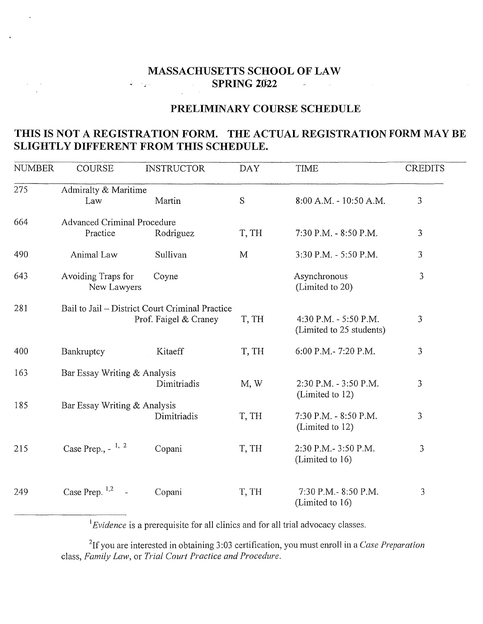## **MASSACHUSETTS SCHOOL OF LAW SPRING 2022**  $\sim$   $\sim$  $\label{eq:2.1} \frac{1}{\sqrt{2}}\int_{0}^{\infty}\frac{1}{\sqrt{2\pi}}\left(\frac{1}{\sqrt{2\pi}}\right)^{2}d\mu\,d\mu\,.$  $\label{eq:2.1} \mathcal{L}(\mathcal{L}) = \mathcal{L}(\mathcal{L}) = \mathcal{L}(\mathcal{L})$

## **PRELIMINARY COURSE SCHEDULE**

## **THIS IS NOT A REGISTRATION FORM. THE ACTUAL REGISTRATION FORM MAY BE SLIGHTLY DIFFERENT FROM THIS SCHEDULE.**

| <b>NUMBER</b> | <b>COURSE</b>                                   | <b>INSTRUCTOR</b>     | <b>DAY</b> | <b>TIME</b>                                       | <b>CREDITS</b> |  |  |  |  |
|---------------|-------------------------------------------------|-----------------------|------------|---------------------------------------------------|----------------|--|--|--|--|
| 275           | Admiralty & Maritime                            |                       |            |                                                   |                |  |  |  |  |
|               | Law                                             | Martin                | S          | $8:00$ A.M. - 10:50 A.M.                          | 3              |  |  |  |  |
| 664           | <b>Advanced Criminal Procedure</b>              |                       |            |                                                   |                |  |  |  |  |
|               | Practice                                        | Rodriguez             | T, TH      | 7:30 P.M. - 8:50 P.M.                             | 3              |  |  |  |  |
| 490           | Animal Law                                      | Sullivan              | M          | 3:30 P.M. - 5:50 P.M.                             | 3              |  |  |  |  |
| 643           | Avoiding Traps for<br>New Lawyers               | Coyne                 |            | Asynchronous<br>(Limited to 20)                   | 3              |  |  |  |  |
| 281           | Bail to Jail – District Court Criminal Practice |                       |            |                                                   |                |  |  |  |  |
|               |                                                 | Prof. Faigel & Craney | T, TH      | 4:30 P.M. - 5:50 P.M.<br>(Limited to 25 students) | 3              |  |  |  |  |
| 400           | Bankruptcy                                      | Kitaeff               | T, TH      | 6:00 P.M.-7:20 P.M.                               | 3              |  |  |  |  |
| 163           | Bar Essay Writing & Analysis                    |                       |            |                                                   |                |  |  |  |  |
|               |                                                 | Dimitriadis           | M, W       | 2:30 P.M. - 3:50 P.M.<br>(Limited to 12)          | $\mathfrak{Z}$ |  |  |  |  |
| 185           | Bar Essay Writing & Analysis                    |                       |            |                                                   |                |  |  |  |  |
|               |                                                 | Dimitriadis           | T, TH      | 7:30 P.M. - 8:50 P.M.<br>(Limited to 12)          | 3              |  |  |  |  |
| 215           | Case Prep., $-$ <sup>1, 2</sup>                 | Copani                | T, TH      | 2:30 P.M.- 3:50 P.M.<br>(Limited to 16)           | 3              |  |  |  |  |
| 249           | Case Prep. $1,2$<br>$\omega$                    | Copani                | T, TH      | 7:30 P.M.-8:50 P.M.<br>(Limited to 16)            | 3              |  |  |  |  |

<sup>1</sup> Evidence is a prerequisite for all clinics and for all trial advocacy classes.

2 lf you are interested in obtaining 3:03 certification, you must emoll in a *Case Preparation*  class, family *Law,* or *Trial Court Practice and Procedure.*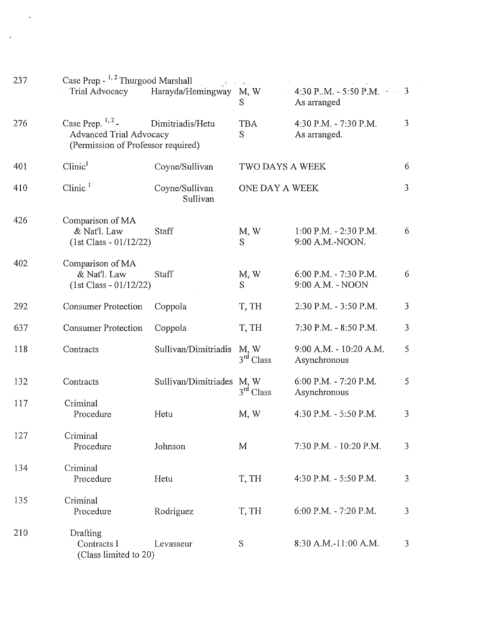| 237 | Case Prep. - <sup>1, 2</sup> Thurgood Marshall                                                                  |                            |                                  |                                               |                |  |  |
|-----|-----------------------------------------------------------------------------------------------------------------|----------------------------|----------------------------------|-----------------------------------------------|----------------|--|--|
|     | Trial Advocacy                                                                                                  | Harayda/Hemingway          | M, W<br>S                        | 4:30 P.M. - 5:50 P.M. $\sim$ 3<br>As arranged |                |  |  |
| 276 | Case Prep. $1, 2$ -<br>Dimitriadis/Hetu<br><b>Advanced Trial Advocacy</b><br>(Permission of Professor required) |                            | <b>TBA</b><br>S                  | 4:30 P.M. - 7:30 P.M.<br>As arranged.         | 3              |  |  |
| 401 | Clinic <sup>1</sup>                                                                                             | Coyne/Sullivan             | TWO DAYS A WEEK                  |                                               | 6              |  |  |
| 410 | $C$ linic $1$                                                                                                   | Coyne/Sullivan<br>Sullivan | $\overline{3}$<br>ONE DAY A WEEK |                                               |                |  |  |
| 426 | Comparison of MA<br>& Nat'l. Law<br>$(1st Class - 01/12/22)$                                                    | Staff                      | M, W<br>S                        | $1:00$ P.M. $- 2:30$ P.M.<br>9:00 A.M.-NOON.  | 6              |  |  |
| 402 | Comparison of MA<br>& Nat'l. Law<br>$(1st Class - 01/12/22)$                                                    | Staff                      | M, W<br>S                        | 6:00 P.M. - 7:30 P.M.<br>9:00 A.M. - NOON     | 6              |  |  |
| 292 | <b>Consumer Protection</b>                                                                                      | Coppola                    | T, TH                            | 2:30 P.M. - 3:50 P.M.                         | $\mathfrak{Z}$ |  |  |
| 637 | <b>Consumer Protection</b>                                                                                      | Coppola                    | T, TH                            | 7:30 P.M. - 8:50 P.M.                         | $\overline{3}$ |  |  |
| 118 | Contracts                                                                                                       | Sullivan/Dimitriadis       | M, W<br>$3rd$ Class              | 9:00 A.M. - 10:20 A.M.<br>Asynchronous        | 5              |  |  |
| 132 | Contracts                                                                                                       | Sullivan/Dimitriades M, W  | 3 <sup>rd</sup> Class            | 6:00 P.M. - 7:20 P.M.<br>Asynchronous         | 5              |  |  |
| 117 | Criminal<br>Procedure                                                                                           | Hetu                       | M, W                             | 4:30 P.M. - 5:50 P.M.                         | $\mathfrak{Z}$ |  |  |
| 127 | Criminal<br>Procedure                                                                                           | Johnson                    | M                                | 7:30 P.M. - 10:20 P.M.                        | 3              |  |  |
| 134 | Criminal<br>Procedure                                                                                           | Hetu                       | T, TH                            | 4:30 P.M. - 5:50 P.M.                         | $\mathfrak{Z}$ |  |  |
| 135 | Criminal<br>Procedure                                                                                           | Rodriguez                  | T, TH                            | 6:00 P.M. - 7:20 P.M.                         | 3              |  |  |
| 210 | Drafting<br>Contracts I<br>(Class limited to 20)                                                                | Levasseur                  | S                                | 8:30 A.M.-11:00 A.M.                          | 3              |  |  |

 $\mathcal{L}_{\text{max}}$ 

 $\mathcal{L}_{\text{max}}$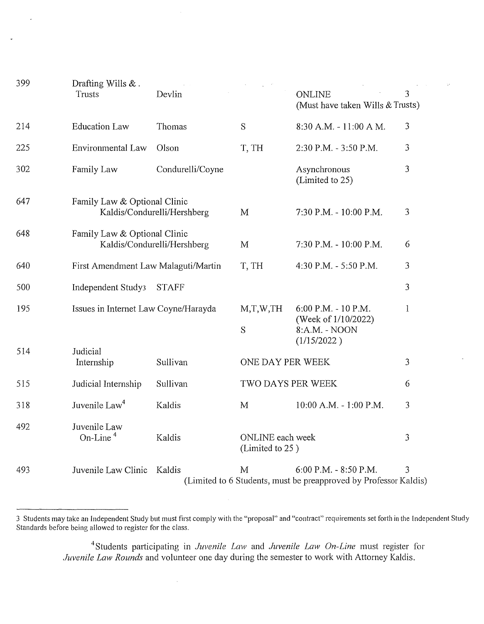| 399 | Drafting Wills $&$ .<br>Trusts                 | Devlin                      | $\mathcal{L}$                       | <b>ONLINE</b><br>(Must have taken Wills & Trusts)                                         | 3              |
|-----|------------------------------------------------|-----------------------------|-------------------------------------|-------------------------------------------------------------------------------------------|----------------|
| 214 | <b>Education Law</b>                           | Thomas                      | S                                   | 8:30 A.M. - 11:00 A M.                                                                    | 3              |
| 225 | <b>Environmental Law</b>                       | Olson                       | T, TH                               | 2:30 P.M. - 3:50 P.M.                                                                     | 3              |
| 302 | Family Law                                     | Condurelli/Coyne            |                                     | Asynchronous<br>(Limited to 25)                                                           | 3              |
| 647 | Family Law & Optional Clinic                   | Kaldis/Condurelli/Hershberg | M                                   | 7:30 P.M. - 10:00 P.M.                                                                    | 3              |
| 648 | Family Law & Optional Clinic                   | Kaldis/Condurelli/Hershberg | M                                   | 7:30 P.M. - 10:00 P.M.                                                                    | 6              |
| 640 | First Amendment Law Malaguti/Martin            |                             | T, TH                               | 4:30 P.M. - 5:50 P.M.                                                                     | 3              |
| 500 | Independent Study3                             | <b>STAFF</b>                |                                     |                                                                                           | 3              |
| 195 | Issues in Internet Law Coyne/Harayda           |                             | M,T,W,TH<br>S                       | $6:00$ P.M. - 10 P.M.<br>(Week of 1/10/2022)<br>8:A.M. - NOON                             | $\mathbf{1}$   |
| 514 | Judicial<br>Internship                         | Sullivan                    | ONE DAY PER WEEK                    | (1/15/2022)                                                                               | $\overline{3}$ |
| 515 | Judicial Internship<br>Sullivan                |                             | TWO DAYS PER WEEK                   |                                                                                           | 6              |
| 318 | Juvenile Law <sup>4</sup>                      | Kaldis                      | M                                   | 10:00 A.M. - 1:00 P.M.                                                                    | 3              |
| 492 | Juvenile Law<br>On-Line <sup>4</sup><br>Kaldis |                             | ONLINE each week<br>(Limited to 25) |                                                                                           | 3              |
| 493 | Juvenile Law Clinic                            | Kaldis                      | M                                   | 6:00 P.M. - 8:50 P.M.<br>(Limited to 6 Students, must be preapproved by Professor Kaldis) | 3              |

<sup>3</sup> Students may take an Independent Study but must first comply with the "proposal" and "contract" requirements set forth in the Independent Study Standards before being allowed to register for the class.

<sup>4</sup> Students participating in *Juvenile Law* and *Juvenile Law On-Line* must register for *Juvenile Law Rounds* and volunteer one day during the semester to work with Attorney Kaldis.

 $\ddot{\phantom{a}}$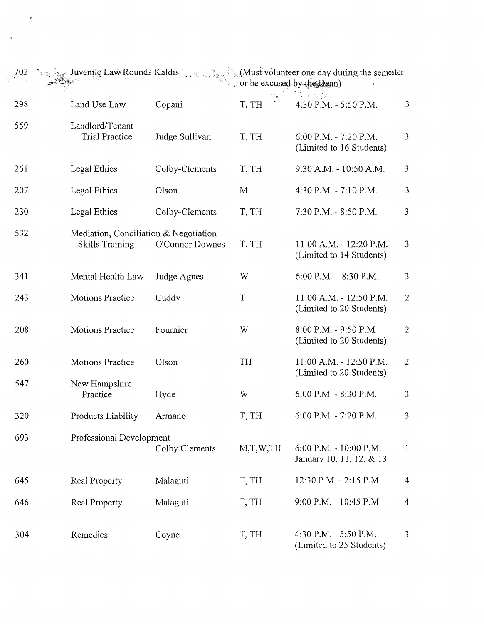| 702 | Juvenile Law Rounds Kaldis                                      |                 | Cor be excused by the Dean) | Must volunteer one day during the semester          |                |
|-----|-----------------------------------------------------------------|-----------------|-----------------------------|-----------------------------------------------------|----------------|
| 298 | Land Use Law                                                    | Copani          | T, TH                       | 4:30 P.M. - 5:50 P.M.                               | 3              |
| 559 | Landlord/Tenant<br><b>Trial Practice</b>                        | Judge Sullivan  | T, TH                       | 6:00 P.M. - 7:20 P.M.<br>(Limited to 16 Students)   | 3              |
| 261 | Legal Ethics                                                    | Colby-Clements  | T, TH                       | 9:30 A.M. - 10:50 A.M.                              | 3              |
| 207 | Legal Ethics                                                    | Olson           | M                           | 4:30 P.M. - 7:10 P.M.                               | 3              |
| 230 | Legal Ethics                                                    | Colby-Clements  | T, TH                       | 7:30 P.M. - 8:50 P.M.                               | 3              |
| 532 | Mediation, Conciliation & Negotiation<br><b>Skills Training</b> | O'Connor Downes | T, TH                       | 11:00 A.M. - 12:20 P.M.<br>(Limited to 14 Students) | $\mathfrak{Z}$ |
| 341 | Mental Health Law                                               | Judge Agnes     | W                           | 6:00 P.M. $-$ 8:30 P.M.                             | $\mathfrak{Z}$ |
| 243 | <b>Motions Practice</b>                                         | Cuddy           | $\mathbf T$                 | 11:00 A.M. - 12:50 P.M.<br>(Limited to 20 Students) | $\mathbf{2}$   |
| 208 | <b>Motions Practice</b>                                         | Fournier        | W                           | 8:00 P.M. - 9:50 P.M.<br>(Limited to 20 Students)   | $\mathbf{2}$   |
| 260 | Motions Practice                                                | Olson           | TH                          | 11:00 A.M. - 12:50 P.M.<br>(Limited to 20 Students) | $\overline{2}$ |
| 547 | New Hampshire<br>Practice                                       | Hyde            | W                           | 6:00 P.M. - 8:30 P.M.                               | 3              |
| 320 | Products Liability                                              | Armano          | T, TH                       | 6:00 P.M. - 7:20 P.M.                               | 3              |
| 693 | Professional Development                                        | Colby Clements  | M,T,W,TH                    | 6:00 P.M. - 10:00 P.M.<br>January 10, 11, 12, & 13  | $\mathbf{1}$   |
| 645 | Real Property                                                   | Malaguti        | T, TH                       | 12:30 P.M. - 2:15 P.M.                              | $\overline{4}$ |
| 646 | Real Property                                                   | Malaguti        | T, TH                       | 9:00 P.M. - 10:45 P.M.                              | $\overline{4}$ |
| 304 | Remedies                                                        | Coyne           | T, TH                       | 4:30 P.M. - 5:50 P.M.<br>(Limited to 25 Students)   | 3              |

 $\sim 10^{-10}$ 

 $\hat{\theta}$ 

 $\downarrow$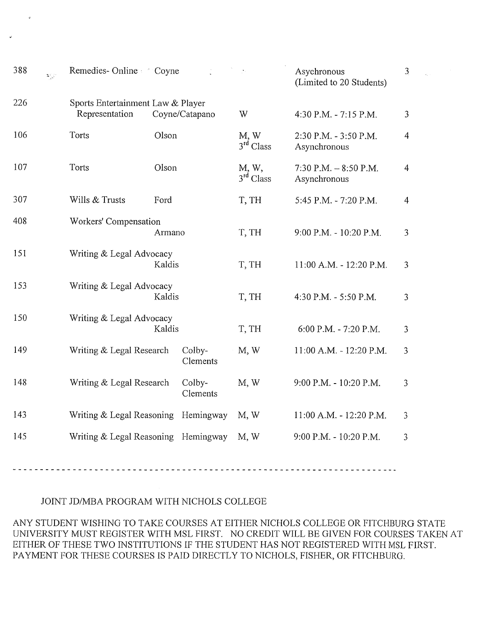| 388 | $\mathbb{Z}^2_{\mathcal{D}} \mathbb{C}^2$ | Remedies-Online Coyne                               |        |                    | $\mathcal{O}^{\mathcal{O}}$ | Asychronous<br>(Limited to 20 Students)  | $\overline{3}$ |
|-----|-------------------------------------------|-----------------------------------------------------|--------|--------------------|-----------------------------|------------------------------------------|----------------|
| 226 |                                           | Sports Entertainment Law & Player<br>Representation |        | Coyne/Catapano     | W                           | 4:30 P.M. - 7:15 P.M.                    | 3              |
| 106 |                                           | Torts                                               | Olson  |                    | M, W<br>$3rd$ Class         | 2:30 P.M. - 3:50 P.M.<br>Asynchronous    | $\overline{4}$ |
| 107 |                                           | Torts                                               | Olson  |                    | M, W,<br>$3rd$ Class        | $7:30$ P.M. $-8:50$ P.M.<br>Asynchronous | 4              |
| 307 |                                           | Wills & Trusts                                      | Ford   |                    | T, TH                       | 5:45 P.M. - 7:20 P.M.                    | $\overline{4}$ |
| 408 |                                           | Workers' Compensation                               | Armano |                    | T, TH                       | 9:00 P.M. - 10:20 P.M.                   | 3              |
| 151 |                                           | Writing & Legal Advocacy                            | Kaldis |                    | T, TH                       | 11:00 A.M. - 12:20 P.M.                  | 3              |
| 153 |                                           | Writing & Legal Advocacy                            | Kaldis |                    | T, TH                       | 4:30 P.M. - 5:50 P.M.                    | 3              |
| 150 |                                           | Writing & Legal Advocacy                            | Kaldis |                    | T, TH                       | 6:00 P.M. - 7:20 P.M.                    | 3              |
| 149 |                                           | Writing & Legal Research                            |        | Colby-<br>Clements | M, W                        | 11:00 A.M. - 12:20 P.M.                  | 3              |
| 148 |                                           | Writing & Legal Research                            |        | Colby-<br>Clements | M, W                        | 9:00 P.M. - 10:20 P.M.                   | 3              |
| 143 |                                           | Writing & Legal Reasoning                           |        | Hemingway          | M, W                        | 11:00 A.M. - 12:20 P.M.                  | 3              |
| 145 |                                           | Writing & Legal Reasoning Hemingway                 |        |                    | M, W                        | 9:00 P.M. - 10:20 P.M.                   | 3              |

## JOINT JD/MBA PROGRAM WITH NICHOLS COLLEGE

ANY STUDENT WISHING TO TAKE COURSES AT EITHER NICHOLS COLLEGE OR FITCHBURG STATE UNIVERSITY MUST REGISTER WITH MSL FIRST. NO CREDIT WILL BE GIVEN FOR COURSES TAKEN AT EITHER OF THESE TWO INSTITUTIONS IF THE STUDENT HAS NOT REGISTERED WITH MSL FIRST. PAYMENT FOR THESE COURSES IS PAID DIRECTLY TO NICHOLS, FISHER, OR FITCHBURG.